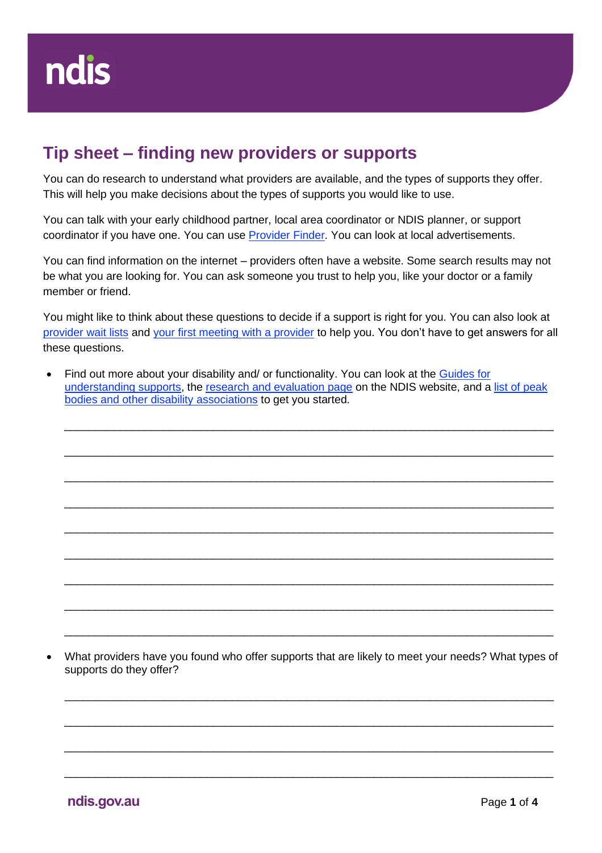## **Tip sheet – finding new providers or supports**

You can do research to understand what providers are available, and the types of supports they offer. This will help you make decisions about the types of supports you would like to use.

You can talk with your early childhood partner, local area coordinator or NDIS planner, or support coordinator if you have one. You can use **Provider Finder**. You can look at local advertisements.

You can find information on the internet – providers often have a website. Some search results may not be what you are looking for. You can ask someone you trust to help you, like your doctor or a family member or friend.

You might like to think about these questions to decide if a support is right for you. You can also look at [provider wait lists](https://aus01.safelinks.protection.outlook.com/?url=https%3A%2F%2Fwww.ndis.gov.au%2Fmedia%2F4423%2Fdownload&data=05%7C01%7CLinda.Ryan%40ndis.gov.au%7Cc8d652627a7541a2d88008da36dc862f%7Ccd778b65752d454a87cfb9990fe58993%7C0%7C0%7C637882618009536849%7CUnknown%7CTWFpbGZsb3d8eyJWIjoiMC4wLjAwMDAiLCJQIjoiV2luMzIiLCJBTiI6Ik1haWwiLCJXVCI6Mn0%3D%7C3000%7C%7C%7C&sdata=wH2T7kmMjU0%2B1P%2FN%2FjkkDc%2FNt%2F3obmZyNjR%2FxfQ0sRw%3D&reserved=0) and [your first meeting with a provider](https://aus01.safelinks.protection.outlook.com/?url=https%3A%2F%2Fwww.ndis.gov.au%2Fmedia%2F4430%2Fdownload&data=05%7C01%7CLinda.Ryan%40ndis.gov.au%7Cc8d652627a7541a2d88008da36dc862f%7Ccd778b65752d454a87cfb9990fe58993%7C0%7C0%7C637882618009536849%7CUnknown%7CTWFpbGZsb3d8eyJWIjoiMC4wLjAwMDAiLCJQIjoiV2luMzIiLCJBTiI6Ik1haWwiLCJXVCI6Mn0%3D%7C3000%7C%7C%7C&sdata=pc0hXYxne2p0s2gJcEBz92ohTCdT4YeCwXzjj8cuQhs%3D&reserved=0) to help you. You don't have to get answers for all these questions.

• Find out more about your disability and/ or functionality. You can look at the [Guides for](https://ourguidelines.ndis.gov.au/understanding-supports)  [understanding supports,](https://ourguidelines.ndis.gov.au/understanding-supports) the [research and evaluation page](https://www.ndis.gov.au/community/research-and-evaluation) on the NDIS website, and a [list of peak](https://www.jobaccess.gov.au/service-providers/peak-bodies-and-other-disability-associations?msclkid=824b4b3eaf5511ec9c1f245005cd7e33)  [bodies and other disability associations](https://www.jobaccess.gov.au/service-providers/peak-bodies-and-other-disability-associations?msclkid=824b4b3eaf5511ec9c1f245005cd7e33) to get you started.

\_\_\_\_\_\_\_\_\_\_\_\_\_\_\_\_\_\_\_\_\_\_\_\_\_\_\_\_\_\_\_\_\_\_\_\_\_\_\_\_\_\_\_\_\_\_\_\_\_\_\_\_\_\_\_\_\_\_\_\_\_\_\_\_\_\_\_\_\_\_\_\_\_\_\_\_\_\_\_

\_\_\_\_\_\_\_\_\_\_\_\_\_\_\_\_\_\_\_\_\_\_\_\_\_\_\_\_\_\_\_\_\_\_\_\_\_\_\_\_\_\_\_\_\_\_\_\_\_\_\_\_\_\_\_\_\_\_\_\_\_\_\_\_\_\_\_\_\_\_\_\_\_\_\_\_\_\_\_

\_\_\_\_\_\_\_\_\_\_\_\_\_\_\_\_\_\_\_\_\_\_\_\_\_\_\_\_\_\_\_\_\_\_\_\_\_\_\_\_\_\_\_\_\_\_\_\_\_\_\_\_\_\_\_\_\_\_\_\_\_\_\_\_\_\_\_\_\_\_\_\_\_\_\_\_\_\_\_

\_\_\_\_\_\_\_\_\_\_\_\_\_\_\_\_\_\_\_\_\_\_\_\_\_\_\_\_\_\_\_\_\_\_\_\_\_\_\_\_\_\_\_\_\_\_\_\_\_\_\_\_\_\_\_\_\_\_\_\_\_\_\_\_\_\_\_\_\_\_\_\_\_\_\_\_\_\_\_

\_\_\_\_\_\_\_\_\_\_\_\_\_\_\_\_\_\_\_\_\_\_\_\_\_\_\_\_\_\_\_\_\_\_\_\_\_\_\_\_\_\_\_\_\_\_\_\_\_\_\_\_\_\_\_\_\_\_\_\_\_\_\_\_\_\_\_\_\_\_\_\_\_\_\_\_\_\_\_

\_\_\_\_\_\_\_\_\_\_\_\_\_\_\_\_\_\_\_\_\_\_\_\_\_\_\_\_\_\_\_\_\_\_\_\_\_\_\_\_\_\_\_\_\_\_\_\_\_\_\_\_\_\_\_\_\_\_\_\_\_\_\_\_\_\_\_\_\_\_\_\_\_\_\_\_\_\_\_

\_\_\_\_\_\_\_\_\_\_\_\_\_\_\_\_\_\_\_\_\_\_\_\_\_\_\_\_\_\_\_\_\_\_\_\_\_\_\_\_\_\_\_\_\_\_\_\_\_\_\_\_\_\_\_\_\_\_\_\_\_\_\_\_\_\_\_\_\_\_\_\_\_\_\_\_\_\_\_

\_\_\_\_\_\_\_\_\_\_\_\_\_\_\_\_\_\_\_\_\_\_\_\_\_\_\_\_\_\_\_\_\_\_\_\_\_\_\_\_\_\_\_\_\_\_\_\_\_\_\_\_\_\_\_\_\_\_\_\_\_\_\_\_\_\_\_\_\_\_\_\_\_\_\_\_\_\_\_

\_\_\_\_\_\_\_\_\_\_\_\_\_\_\_\_\_\_\_\_\_\_\_\_\_\_\_\_\_\_\_\_\_\_\_\_\_\_\_\_\_\_\_\_\_\_\_\_\_\_\_\_\_\_\_\_\_\_\_\_\_\_\_\_\_\_\_\_\_\_\_\_\_\_\_\_\_\_\_

• What providers have you found who offer supports that are likely to meet your needs? What types of supports do they offer?

\_\_\_\_\_\_\_\_\_\_\_\_\_\_\_\_\_\_\_\_\_\_\_\_\_\_\_\_\_\_\_\_\_\_\_\_\_\_\_\_\_\_\_\_\_\_\_\_\_\_\_\_\_\_\_\_\_\_\_\_\_\_\_\_\_\_\_\_\_\_\_\_\_\_\_\_\_\_\_

\_\_\_\_\_\_\_\_\_\_\_\_\_\_\_\_\_\_\_\_\_\_\_\_\_\_\_\_\_\_\_\_\_\_\_\_\_\_\_\_\_\_\_\_\_\_\_\_\_\_\_\_\_\_\_\_\_\_\_\_\_\_\_\_\_\_\_\_\_\_\_\_\_\_\_\_\_\_\_

\_\_\_\_\_\_\_\_\_\_\_\_\_\_\_\_\_\_\_\_\_\_\_\_\_\_\_\_\_\_\_\_\_\_\_\_\_\_\_\_\_\_\_\_\_\_\_\_\_\_\_\_\_\_\_\_\_\_\_\_\_\_\_\_\_\_\_\_\_\_\_\_\_\_\_\_\_\_\_

\_\_\_\_\_\_\_\_\_\_\_\_\_\_\_\_\_\_\_\_\_\_\_\_\_\_\_\_\_\_\_\_\_\_\_\_\_\_\_\_\_\_\_\_\_\_\_\_\_\_\_\_\_\_\_\_\_\_\_\_\_\_\_\_\_\_\_\_\_\_\_\_\_\_\_\_\_\_\_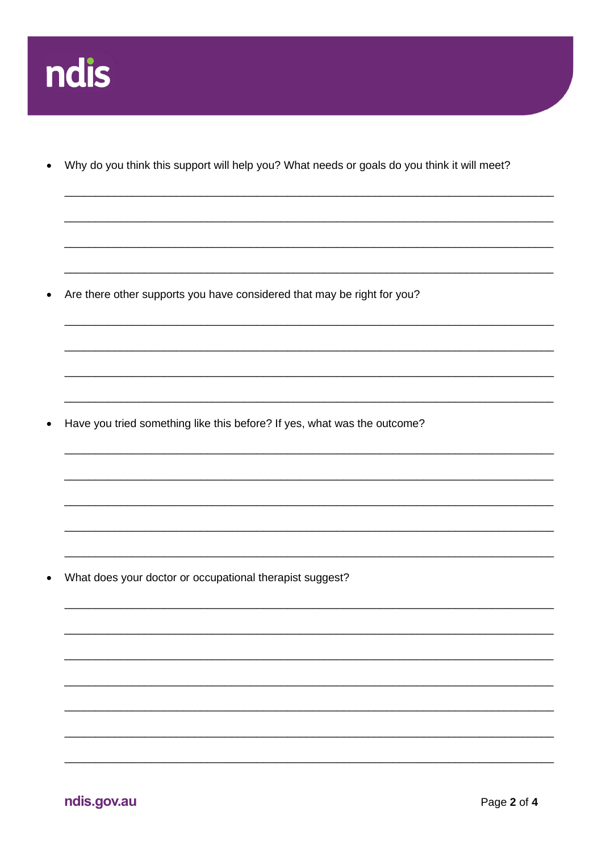

Why do you think this support will help you? What needs or goals do you think it will meet?

Are there other supports you have considered that may be right for you?  $\bullet$ 

Have you tried something like this before? If yes, what was the outcome?  $\bullet$ 

What does your doctor or occupational therapist suggest?  $\bullet$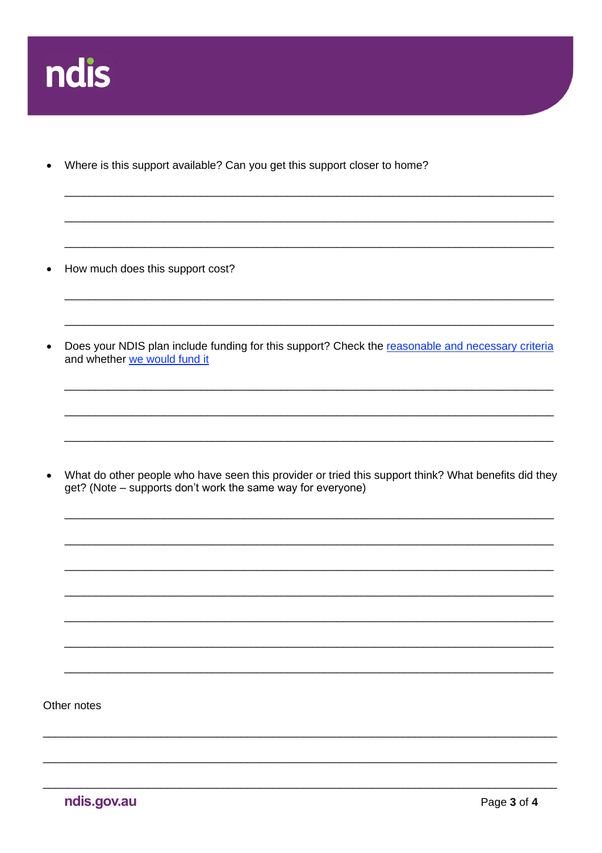

Where is this support available? Can you get this support closer to home?  $\bullet$ 

How much does this support cost?  $\bullet$ 

Does your NDIS plan include funding for this support? Check the reasonable and necessary criteria  $\bullet$ and whether we would fund it

What do other people who have seen this provider or tried this support think? What benefits did they  $\bullet$ get? (Note – supports don't work the same way for everyone)

Other notes